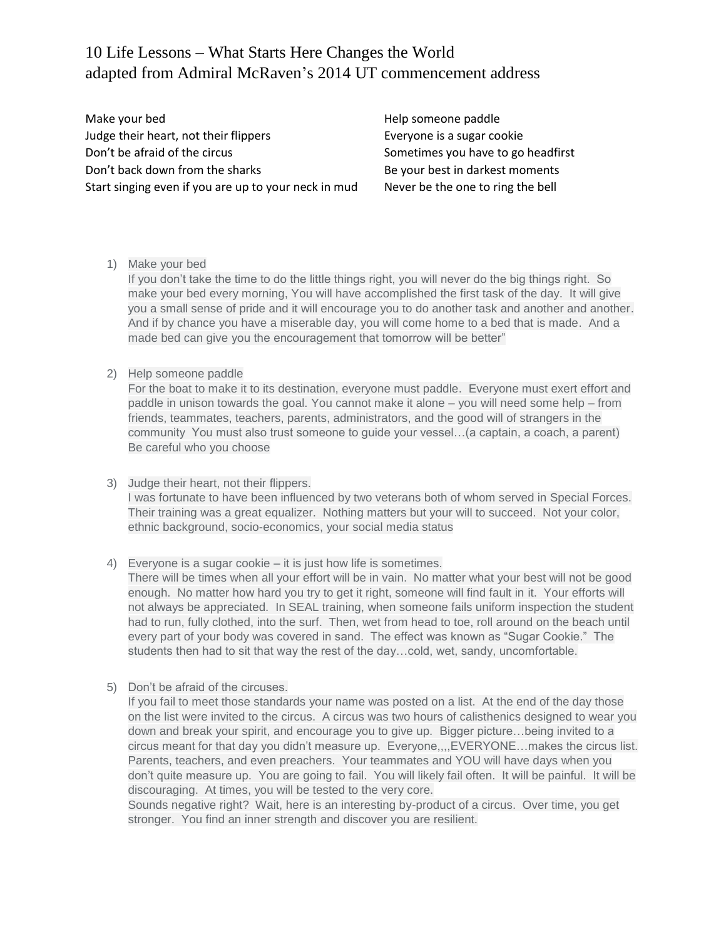## 10 Life Lessons – What Starts Here Changes the World adapted from Admiral McRaven's 2014 UT commencement address

Make your bed **Help someone paddle** Judge their heart, not their flippers Everyone is a sugar cookie Don't be afraid of the circus example of the strength sometimes you have to go headfirst Don't back down from the sharks Be your best in darkest moments Start singing even if you are up to your neck in mud Never be the one to ring the bell

1) Make your bed

If you don't take the time to do the little things right, you will never do the big things right. So make your bed every morning, You will have accomplished the first task of the day. It will give you a small sense of pride and it will encourage you to do another task and another and another. And if by chance you have a miserable day, you will come home to a bed that is made. And a made bed can give you the encouragement that tomorrow will be better"

2) Help someone paddle

For the boat to make it to its destination, everyone must paddle. Everyone must exert effort and paddle in unison towards the goal. You cannot make it alone – you will need some help – from friends, teammates, teachers, parents, administrators, and the good will of strangers in the community You must also trust someone to guide your vessel…(a captain, a coach, a parent) Be careful who you choose

- 3) Judge their heart, not their flippers. I was fortunate to have been influenced by two veterans both of whom served in Special Forces. Their training was a great equalizer. Nothing matters but your will to succeed. Not your color, ethnic background, socio-economics, your social media status
- 4) Everyone is a sugar cookie it is just how life is sometimes. There will be times when all your effort will be in vain. No matter what your best will not be good enough. No matter how hard you try to get it right, someone will find fault in it. Your efforts will not always be appreciated. In SEAL training, when someone fails uniform inspection the student had to run, fully clothed, into the surf. Then, wet from head to toe, roll around on the beach until every part of your body was covered in sand. The effect was known as "Sugar Cookie." The students then had to sit that way the rest of the day…cold, wet, sandy, uncomfortable.
- 5) Don't be afraid of the circuses.

If you fail to meet those standards your name was posted on a list. At the end of the day those on the list were invited to the circus. A circus was two hours of calisthenics designed to wear you down and break your spirit, and encourage you to give up. Bigger picture…being invited to a circus meant for that day you didn't measure up. Everyone,,,,EVERYONE…makes the circus list. Parents, teachers, and even preachers. Your teammates and YOU will have days when you don't quite measure up. You are going to fail. You will likely fail often. It will be painful. It will be discouraging. At times, you will be tested to the very core.

Sounds negative right? Wait, here is an interesting by-product of a circus. Over time, you get stronger. You find an inner strength and discover you are resilient.